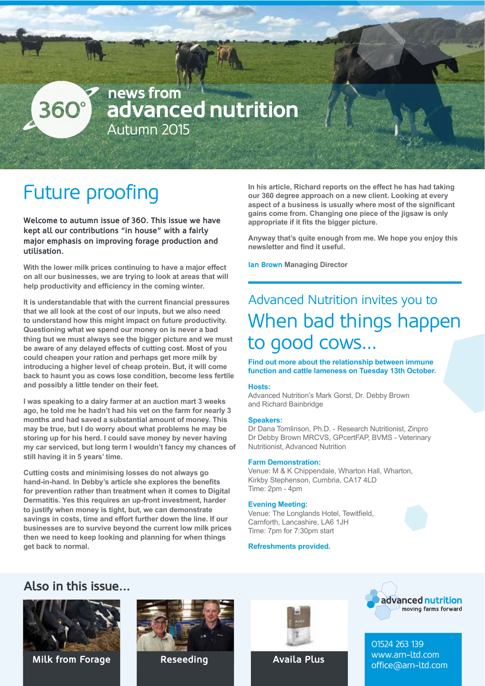## news from 360° advanced nutrition Autumn 2015

# Future proofing

**Welcome to autumn issue of 360. This issue we have kept all our contributions "in house" with a fairly major emphasis on improving forage production and utilisation.** 

**With the lower milk prices continuing to have a major effect on all our businesses, we are trying to look at areas that will** help productivity and efficiency in the coming winter.

It is understandable that with the current financial pressures that we all look at the cost of our inputs, but we also need to understand how this might impact on future productivity. **Questioning what we spend our money on is never a bad** thing but we must always see the bigger picture and we must be aware of any delayed effects of cutting cost. Most of you could cheapen your ration and perhaps get more milk by introducing a higher level of cheap protein. But, it will come back to haunt you as cows lose condition, become less fertile and possibly a little tender on their feet.

**I was speaking to a dairy farmer at an auction mart 3 weeks** ago, he told me he hadn't had his vet on the farm for nearly 3 months and had saved a substantial amount of money. This may be true, but I do worry about what problems he may be storing up for his herd. I could save money by never having my car serviced, but long term I wouldn't fancy my chances of still having it in 5 years' time.

**Cutting costs and minimising losses do not always go** hand-in-hand, In Debby's article she explores the benefits for prevention rather than treatment when it comes to Digital Dermatitis, Yes this requires an up-front investment, harder to justify when money is tight, but, we can demonstrate savings in costs, time and effort further down the line. If our businesses are to survive beyond the current low milk prices then we need to keep looking and planning for when things get back to normal.

In his article, Richard reports on the effect he has had taking our 360 degree approach on a new client. Looking at every aspect of a business is usually where most of the significant gains come from. Changing one piece of the jigsaw is only appropriate if it fits the bigger picture.

Anyway that's quite enough from me. We hope you enjoy this newsletter and find it useful.

**Ian Brown Managing Director** 

# Advanced Nutrition invites you to When bad things happen to good cows...

**Find out more about the relationship between immune** function and cattle lameness on Tuesday 13th October.

#### **Hosts:%**

Advanced Nutrition's Mark Gorst, Dr. Debby Brown and Richard Bainbridge

#### Speakers:

Dr Dana Tomlinson, Ph.D. - Research Nutritionist, Zinpro Dr(Debby Brown MRCVS, GPcertFAP, BVMS - Veterinary) Nutritionist, Advanced Nutrition

#### **Farm Demonstration:**

Venue: M & K Chippendale, Wharton Hall, Wharton, Kirkby Stephenson, Cumbria, CA17 4LD Time:  $2pm - 4pm$ 

#### **Evening Meeting:**

Venue: The Longlands Hotel, Tewitfield. Carnforth, Lancashire, LA6 1JH Time: 7pm for 7:30pm start

### **Refreshments provided.**









**Availa Plus**



01524 263 139 www.arn-ltd.com **Milk from Forage Reseeding Reserve Availa Plus** Milk from Forage Reseeding Availa Plus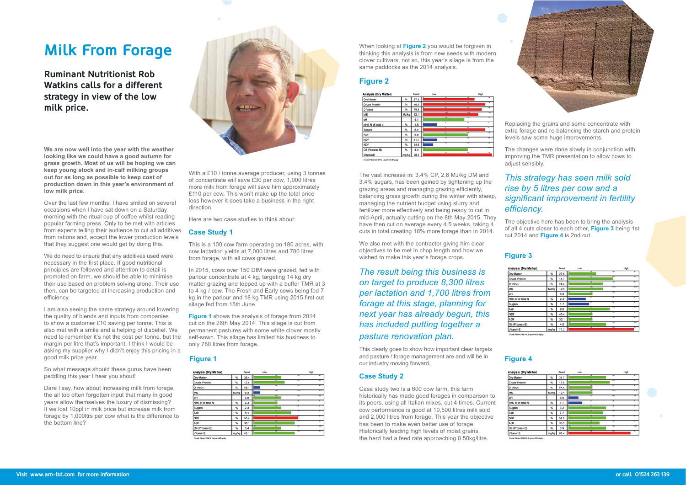With a £10 / tonne average producer, using 3 tonnes of concentrate will save  $£30$  per cow, 1,000 litres more milk from forage will save him approximately £110 per cow. This won't make up the total price loss however it does take a business in the right direction.

Here are two case studies to think about:

## **Case Study 1**

This is a 100 cow farm operating on 180 acres, with cow lactation yields at 7,000 litres and 780 litres from forage, with all cows grazed.

In 2015, cows over 150 DIM were grazed, fed with parlour concentrate at 4 kg, targeting 14 kg dry matter grazing and topped up with a buffer TMR at 3 to 4 kg / cow. The Fresh and Early cows being fed 7 kg in the parlour and 18 kg TMR using 2015 first cut silage fed from 15th June.

**Figure 1** shows the analysis of forage from 2014 cut on the 26th May 2014. This silage is cut from permanent pastures with some white clover mostly self-sown. This silage has limited his business to only 780 litres from forage.

## **Figure 1**

| Analysis (Dry Matter) |              | Result | Low |     | High |
|-----------------------|--------------|--------|-----|-----|------|
| Dry Matter            | %            | 26.4   |     |     |      |
| Crude Protein         | %            | 12.6   |     |     |      |
| D Value               | %            | 58.1   |     |     |      |
| ME                    | <b>MJ/kg</b> | 9.3    |     |     |      |
| pH                    |              | 3.9    | пr  |     | π    |
| NH3-N of total N      | %            | 3.3    |     |     |      |
| Sugars                | %            | 2.3    |     |     |      |
| Ash                   | %            | 8.1    |     |     |      |
| <b>NDF</b>            | $\%$         | 55.2   |     |     |      |
| <b>ADF</b>            | $\%$         | 38.1   |     |     |      |
| Oil (Process B)       | %            | 3.4    |     | न्त | ≖    |
| Vitamin E             | marka        | 45.1   |     |     |      |

When looking at **Figure 2** you would be forgiven in thinking this analysis is from new seeds with modern clover cultivars, not so, this year's silage is from the same paddocks as the 2014 analysis.

## **Figure 2**



The vast increase in: 3.4% CP, 2.6 MJ/kg DM and 3.4% sugars, has been gained by tightening up the grazing areas and managing grazing efficiently. balancing grass growth during the winter with sheep, managing the nutrient budget using slurry and fertilizer more effectively and being ready to cut in mid-April, actually cutting on the 8th May 2015. They have then cut on average every 4.5 weeks, taking 4 cuts in total creating 18% more forage than in 2014.

We also met with the contractor giving him clear objectives to be met in chop length and how we wished to make this year's forage crops.

*The result being this business is* on target to produce 8,300 litres per lactation and 1,700 litres from *<i>I ICO and et this stage, planning for next%year%has%already%begun,%this%* has included putting together a *Dasture renovation plan.* 

This clearly goes to show how important clear targets and pasture / forage management are and will be in our industry moving forward.

## **Case Study 2**

Case study two is a 600 cow farm, this farm historically has made good forages in comparison to its peers, using all Italian mixes, cut 4 times. Current cow performance is good at 10,500 litres milk sold and 2,000 litres from forage. This year the objective has been to make even better use of forage. Historically feeding high levels of moist grains, the herd had a feed rate approaching 0.50kg/litre.



# **Milk From Forage**

**Ruminant Nutritionist Rob Watkins calls for a different strategy in view of the low milk price.**



We are now well into the year with the weather **looking like we could have a good autumn for** grass growth. Most of us will be hoping we can keep young stock and in-calf milking groups out for as long as possible to keep cost of production down in this year's environment of low milk price.

Over the last few months, I have smiled on several occasions when I have sat down on a Saturday morning with the ritual cup of coffee whilst reading popular farming press. Only to be met with articles from experts telling their audience to cut all additives from rations and, accept the lower production levels that they suggest one would get by doing this.

We do need to ensure that any additives used were necessary in the first place. If good nutritional principles are followed and attention to detail is promoted on farm, we should be able to minimise their use based on problem solving alone. Their use then, can be targeted at increasing production and efficiency.

I am also seeing the same strategy around lowering the quality of blends and inputs from companies to show a customer  $£10$  saving per tonne. This is also met with a smile and a helping of disbelief. We need to remember it's not the cost per tonne, but the margin per litre that's important. I think I would be asking my supplier why I didn't enjoy this pricing in a good milk price year.

So what message should these gurus have been peddling this year I hear you shout!

Dare I say, how about increasing milk from forage, the all too often forgotten input that many in good years allow themselves the luxury of dismissing? If we lost 10ppl in milk price but increase milk from forage by 1,000ltrs per cow what is the difference to the bottom line?



Replacing the grains and some concentrate with extra forage and re-balancing the starch and protein levels saw some huge improvements.

The changes were done slowly in conjunction with improving the TMR presentation to allow cows to adjust sensibly.

## *This strategy has seen milk sold rise by 5 litres per cow and a <u>Significant improvement in fertility</u>* efficiency.

The objective here has been to bring the analysis of all 4 cuts closer to each other, Figure 3 being 1st cut 2014 and **Figure 4** is 2nd cut.

## **Figure 3**

| s (Dry Matter) |                  | Result | Low |      | High |
|----------------|------------------|--------|-----|------|------|
| ber            | %                | 27.6   |     |      |      |
| rotein         | %                | 14.7   |     |      |      |
|                | 製                | 68.2   |     |      |      |
|                | MJ/kg            | 10.9   |     |      |      |
|                |                  | 3.8    | ≖   | न्दन | m    |
| of total N     | %                | 2.4    |     | ÷    |      |
|                | %                | 1,7    | ₹   |      |      |
|                | %                | 9.0    |     |      |      |
|                | $\gamma_{\rm s}$ | 45.4   |     |      |      |
|                | $\gamma_b$       | 30.1   |     |      |      |
| cess B)        | $\%$             | 4.0    |     | ≖    | ≖    |
| ε              | mg/kg            | 71.2   | -   | ж.   |      |

## **Figure 4**

| s (Dry Matter) |       | Result | Low |      | High |
|----------------|-------|--------|-----|------|------|
|                |       |        |     |      |      |
| ber            | ч,    | 31.7   |     |      |      |
| rotein         | 製     | 13.9   |     |      |      |
|                | ×,    | 64.9   |     |      |      |
|                | MJ/kg | 10.4   |     | π    | ÷    |
|                |       | 3.6    | ≖   | त्रा | ष्टा |
| of total N     | %     | 1,7    |     | ≖    |      |
|                | У,    | 3.2    |     | ≖    |      |
|                | N,    | 7.7    |     |      |      |
|                | У,    | 51.9   |     |      |      |
|                | $\%$  | 33.5   |     |      |      |
| cess B)        | %     | 3.9    |     | ≖    | ≖    |
| E              | mg/kg | 68.4   |     | ≖    |      |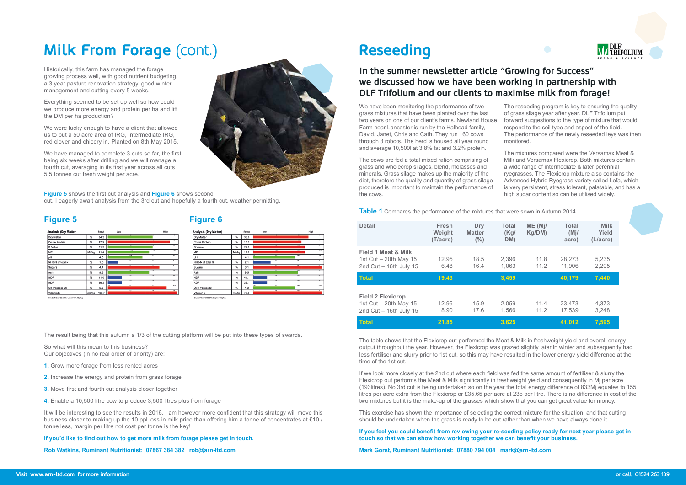# **Milk From Forage** (cont.)

Historically, this farm has managed the forage growing process well, with good nutrient budgeting, a 3 year pasture renovation strategy, good winter management and cutting every 5 weeks.

Everything seemed to be set up well so how could we produce more energy and protein per ha and lift the DM per ha production?

We were lucky enough to have a client that allowed us to put a 50 acre area of IRG, Intermediate IRG, red clover and chicory in. Planted on 8th May 2015.

We have managed to complete 3 cuts so far, the first being six weeks after drilling and we will manage a fourth cut, averaging in its first year across all cuts 5.5 tonnes cut fresh weight per acre.

**Figure 5** shows the first cut analysis and **Figure 6** shows second cut, I eagerly await analysis from the 3rd cut and hopefully a fourth cut, weather permitting.

## **Figure 5 Figure 6**



| Analysis (Dry Matter) |       | Result | Low | High      |
|-----------------------|-------|--------|-----|-----------|
| Dry Matter            | %     | 38.6   |     |           |
| Crude Protein         | ۰.    | 15.2   |     |           |
| D Value               | 製     | 74.5   |     |           |
| ME                    | MJ/kg | 11.9   |     | m         |
| pH                    |       | 4.1    |     | ↽         |
| NH3-N of total N      | %     | 2.1    |     |           |
| Sugars                | ۰,    | 6.1    |     | ╖         |
| Ash                   | ₩,    | 9.5    |     |           |
| <b>NDF</b>            | ₩,    | 41.1   |     |           |
| ADF                   | %     | 26.1   |     |           |
| Oil (Process B)       | %     | 4.3    |     | ▬<br>त्रा |
| Vitamin E             | mg/kg | 77.9   |     |           |
|                       |       |        |     |           |

The result being that this autumn a 1/3 of the cutting platform will be put into these types of swards.

So what will this mean to this business? Our objectives (in no real order of priority) are:

- 1. Grow more forage from less rented acres
- 2. Increase the energy and protein from grass forage
- 3. Move first and fourth cut analysis closer together
- 4. Enable a 10,500 litre cow to produce 3,500 litres plus from forage

It will be interesting to see the results in 2016. I am however more confident that this strategy will move this business closer to making up the 10 ppl loss in milk price than offering him a tonne of concentrates at £10 / tonne less, margin per litre not cost per tonne is the key!

If you'd like to find out how to get more milk from forage please get in touch.

Rob Watkins, Ruminant Nutritionist: 07867 384 382 rob@arn-ltd.com

## **In the summer newsletter article "Growing for Success" we discussed how we have been working in partnership with DLF Trifolium and our clients to maximise milk from forage!**

We have been monitoring the performance of two grass mixtures that have been planted over the last two years on one of our client's farms. Newland House Farm near Lancaster is run by the Halhead family, David, Janet, Chris and Cath. They run 160 cows through 3 robots. The herd is housed all year round and average  $10,500$ l at  $3.8\%$  fat and  $3.2\%$  protein.

The cows are fed a total mixed ration comprising of grass and wholecrop silages, blend, molasses and minerals. Grass silage makes up the majority of the diet, therefore the quality and quantity of grass silage produced is important to maintain the performance of the cows.

**Table 1** Compares the performance of the mixtures that were sown in Autumn 2014.

# **Reseeding**

| <b>Detail</b>                                                                         | <b>Fresh</b><br>Weight<br>(T/acre) | Dry<br><b>Matter</b><br>(%) | <b>Total</b><br>(Kg)<br>DM) | ME (M)<br>Kg/DM) | <b>Total</b><br>(Mi)<br>acre) | <b>Milk</b><br>Yield<br>(L/acre) |
|---------------------------------------------------------------------------------------|------------------------------------|-----------------------------|-----------------------------|------------------|-------------------------------|----------------------------------|
| <b>Field 1 Meat &amp; Milk</b><br>1st Cut $-$ 20th May 15<br>2nd $Cut - 16th$ July 15 | 12.95<br>6.48                      | 18.5<br>16.4                | 2,396<br>1,063              | 11.8<br>11.2     | 28,273<br>11,906              | 5,235<br>2,205                   |
| <b>Total</b>                                                                          | 19.43                              |                             | 3,459                       |                  | 40,179                        | 7,440                            |
| <b>Field 2 Flexicrop</b><br>1st Cut - 20th May 15<br>2nd $Cut - 16th$ July 15         | 12.95<br>8.90                      | 15.9<br>17.6                | 2.059<br>1,566              | 11.4<br>11.2     | 23.473<br>17,539              | 4,373<br>3,248                   |
| <b>Total</b>                                                                          | 21.85                              |                             | 3,625                       |                  | 41,012                        | 7,595                            |

The table shows that the Flexicrop out-performed the Meat & Milk in freshweight yield and overall energy output throughout the year. However, the Flexicrop was grazed slightly later in winter and subsequently had less fertiliser and slurry prior to 1st cut, so this may have resulted in the lower energy yield difference at the time of the 1st cut.

If we look more closely at the 2nd cut where each field was fed the same amount of fertiliser & slurry the Flexicrop out performs the Meat & Milk significantly in freshweight yield and consequently in Mj per acre (193) (193) (193) it cut is being undertaken so on the year the total energy difference of 833Mj equates to 155 litres per acre extra from the Flexicrop or £35.65 per acre at 23p per litre. There is no difference in cost of the two mixtures but it is the make-up of the grasses which show that you can get great value for money.

This exercise has shown the importance of selecting the correct mixture for the situation, and that cutting should be undertaken when the grass is ready to be cut rather than when we have always done it.

If you feel you could benefit from reviewing your re-seeding policy ready for next year please get in touch so that we can show how working together we can benefit your business.

**Mark Gorst, Ruminant Nutritionist: 07880 794 004 mark@arn-ltd.com** 



The reseeding program is key to ensuring the quality of grass silage year after year. DLF Trifolium put forward suggestions to the type of mixture that would respond to the soil type and aspect of the field. The performance of the newly reseeded leys was then monitored.

The mixtures compared were the Versamax Meat & Milk and Versamax Flexicrop. Both mixtures contain a wide range of intermediate & later perennial ryegrasses. The Flexicrop mixture also contains the Advanced Hybrid Ryegrass variety called Lofa, which is very persistent, stress tolerant, palatable, and has a high sugar content so can be utilised widely.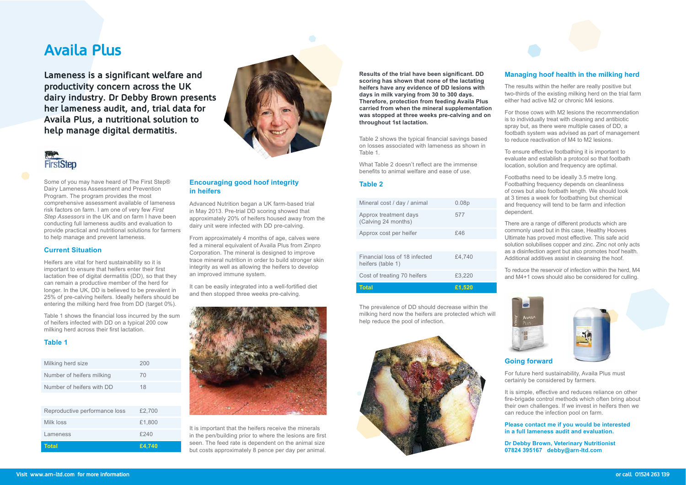## **Encouraging good hoof integrity in%heifers**

Advanced Nutrition began a UK farm-based trial in May 2013. Pre-trial DD scoring showed that approximately 20% of heifers housed away from the dairy unit were infected with DD pre-calving.

From approximately 4 months of age, calves were fed a mineral equivalent of Availa Plus from Zinpro Corporation. The mineral is designed to improve trace mineral nutrition in order to build stronger skin integrity as well as allowing the heifers to develop an improved immune system.

It can be easily integrated into a well-fortified diet and then stopped three weeks pre-calving.



It is important that the heifers receive the minerals in the pen/building prior to where the lesions are first seen. The feed rate is dependent on the animal size but costs approximately 8 pence per day per animal.

Results of the trial have been significant. DD scoring has shown that none of the lactating heifers have any evidence of DD lesions with days in milk varying from 30 to 300 days. **Therefore, protection from feeding Availa Plus** carried from when the mineral supplementation was stopped at three weeks pre-calving and on throughout 1st lactation.

Table 2 shows the typical financial savings based on losses associated with lameness as shown in Table 1.

What Table 2 doesn't reflect are the immense benefits to animal welfare and ease of use.

### **Table 2**

| Mineral cost / day / animal                        | 0.08p  | ć<br>ć                           |
|----------------------------------------------------|--------|----------------------------------|
| Approx treatment days<br>(Calving 24 months)       | 577    |                                  |
| Approx cost per heifer                             | £46    |                                  |
|                                                    |        | S<br>ć                           |
| Financial loss of 18 infected<br>heifers (table 1) | £4,740 | $\overline{1}$<br>$\overline{1}$ |
| Cost of treating 70 heifers                        | £3,220 | ć                                |
| <b>Total</b>                                       | £1,520 |                                  |

The prevalence of DD should decrease within the milking herd now the heifers are protected which will help reduce the pool of infection.



The results within the heifer are really positive but two-thirds of the existing milking herd on the trial farm either had active M2 or chronic M4 lesions.

For those cows with M2 lesions the recommendation is to individually treat with cleaning and antibiotic spray but, as there were multiple cases of DD, a footbath system was advised as part of management to reduce reactivation of M4 to M2 lesions.

There are a range of different products which are commonly used but in this case, Healthy Hooves Ultimate has proved most effective. This safe acid solution solubilises copper and zinc. Zinc not only acts as a disinfection agent but also promotes hoof health. Additional additives assist in cleansing the hoof.

To reduce the reservoir of infection within the herd, M4 and M4+1 cows should also be considered for culling.



It is simple, effective and reduces reliance on other fire-brigade control methods which often bring about their own challenges. If we invest in heifers then we can reduce the infection pool on farm.

**Please contact me if you would be interested Labilib 1 In a full lameness audit and evaluation.** 

Dr Debby Brown, Veterinary Nutritionist 07824 395167 debby@arn-ltd.com

# **Availa Plus**

**Lameness is a significant welfare and productivity concern across the UK dairy industry. Dr Debby Brown presents her lameness audit, and, trial data for Availa Plus, a nutritional solution to help manage digital dermatitis.** 



Some of you may have heard of The First Step® Dairy Lameness Assessment and Prevention Program. The program provides the most comprehensive assessment available of lameness risk factors on farm. I am one of very few *First Step Assessors* in the UK and on farm I have been conducting full lameness audits and evaluation to provide practical and nutritional solutions for farmers to help manage and prevent lameness.

### **Current Situation**

Heifers are vital for herd sustainability so it is important to ensure that heifers enter their first lactation free of digital dermatitis (DD), so that they can remain a productive member of the herd for longer. In the UK, DD is believed to be prevalent in 25% of pre-calving heifers. Ideally heifers should be entering the milking herd free from DD (target 0%).

Table 1 shows the financial loss incurred by the sum of heifers infected with DD on a typical 200 cow milking herd across their first lactation.

## **Table 1**

| Milking herd size             | 200    |
|-------------------------------|--------|
| Number of heifers milking     | 70     |
| Number of heifers with DD     | 18     |
|                               |        |
| Reproductive performance loss | £2,700 |
| Milk loss                     | £1,800 |
| Lameness                      | £240   |
| Total                         | £4.740 |

## **Managing hoof health in the milking herd**

To ensure effective footbathing it is important to evaluate and establish a protocol so that footbath location, solution and frequency are optimal.

Footbaths need to be ideally 3.5 metre long. Footbathing frequency depends on cleanliness of cows but also footbath length. We should look at 3 times a week for footbathing but chemical and frequency will tend to be farm and infection dependent.



## **Going forward**

For future herd sustainability, Availa Plus must certainly be considered by farmers.